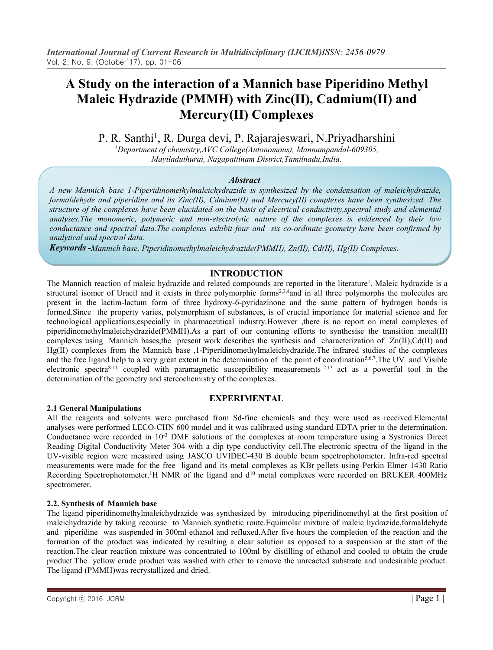# **A Study on the interaction of a Mannich basePiperidino Methyl Maleic Hydrazide (PMMH) with Zinc(II), Cadmium(II) and Mercury(II) Complexes**

P. R. Santhi<sup>1</sup>, R. Durga devi, P. Rajarajeswari, N. Priyadharshini

*<sup>1</sup>Department of chemistry,AVC College(Autonomous), Mannampandal-609305, Mayiladuthurai, Nagapattinam District,Tamilnadu,India.*

## *Abstract*

*A new Mannich base 1-Piperidinomethylmaleichydrazide is synthesized by the condensation of maleichydrazide, formaldehyde and piperidine and its Zinc(II), Cdmium(II) and Mercury(II) complexes have been synthesized. The* structure of the complexes have been elucidated on the basis of electrical conductivity, spectral study and elemental *analyses.The monomeric, polymeric and non-electrolytic nature of the complexes is evidenced by their low conductance and spectral data.The complexes exhibit four and six co-ordinate geometry have been confirmed by analytical and spectral data.*

*Keywords -Mannich base, Piperidinomethylmaleichydrazide(PMMH), Zn(II), Cd(II), Hg(II) Complexes.*

## **INTRODUCTION**

The Mannich reaction of maleic hydrazide and related compounds are reported in the literature<sup>1</sup>. Maleic hydrazide is a structural isomer of Uracil and it exists in three polymorphic forms<sup>2,3,4</sup> and in all three polymorphs the molecules are present in the lactim-lactum form of three hydroxy-6-pyridazinone and the same pattern of hydrogen bonds is formed. Since the property varies, polymorphism of substances, is of crucial importance for material science and for technological applications,especially in pharmaceutical industry.However ,there is no report on metal complexes of piperidinomethylmaleichydrazide(PMMH).As a part of our contuning efforts to synthesise the transition metal(II) complexes using Mannich bases,the present work describes the synthesis and characterization of Zn(II),Cd(II) and Hg(II) complexes from the Mannich base ,1-Piperidinomethylmaleichydrazide.The infrared studies of the complexes and the free ligand help to a very great extent in the determination of the point of coordination<sup>5,6,7</sup>. The UV and Visible electronic spectra<sup>8-11</sup> coupled with paramagnetic susceptibility measurements<sup>12,13</sup> act as a powerful tool in the determination of the geometry and stereochemistry of the complexes.

## **EXPERIMENTAL**

## **2.1 General Manipulations**

All the reagents and solvents were purchased from Sd-fine chemicals and they were used as received.Elemental analyses were performed LECO-CHN 600 model and it was calibrated using standard EDTA prier to the determination. Conductance were recorded in 10<sup>-3</sup> DMF solutions of the complexes at room temperature using a Systronics Direct Reading Digital Conductivity Meter 304 with a dip type conductivity cell.The electronic spectra of the ligand in the UV-visible region were measured using JASCO UVIDEC-430 B double beam spectrophotometer. Infra-red spectral measurements were made for the free ligand and its metal complexes as KBr pellets using Perkin Elmer 1430 Ratio Recording Spectrophotometer.<sup>1</sup>H NMR of the ligand and  $d^{10}$  metal complexes were recorded on BRUKER 400MHz spectrometer.

## **2.2.** Synthesis of Mannich base

The ligand piperidinomethylmaleichydrazide was synthesized by introducing piperidinomethyl at the first position of maleichydrazide by taking recourse to Mannich synthetic route.Equimolar mixture of maleic hydrazide,formaldehyde and piperidine was suspended in 300ml ethanol and refluxed.After five hours the completion of the reaction and the formation of the product was indicated by resulting a clear solution as opposed to a suspension at the start of the reaction.The clear reaction mixture was concentrated to 100ml by distilling of ethanol and cooled to obtain the crude product.The yellow crude product was washed with ether to remove the unreacted substrate and undesirable product.The ligand (PMMH)was recrystallized and dried.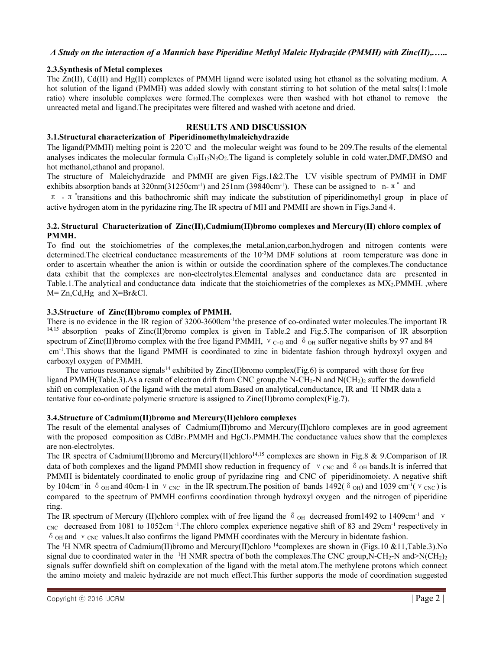## *A Study on the interaction of a Mannich base Piperidine MethylMaleic Hydrazide (PMMH) with Zinc(II),.…..*

## **2.3.Synthesis of Metal complexes**

The Zn(II), Cd(II) and Hg(II) complexes of PMMH ligand were isolated using hot ethanol as the solvating medium. A hot solution of the ligand (PMMH) was added slowly with constant stirring to hot solution of the metal salts(1:1mole ratio) where insoluble complexes were formed.The complexes were then washed with hot ethanol to remove the unreacted metal and ligand.The precipitates were filtered and washed with acetone and dried.

## **RESULTS AND DISCUSSION**

## **3.1.Structural characterization of Piperidinomethylmaleichydrazide**

The ligand(PMMH) melting point is 220℃ and the molecular weight was found to be 209.The results of the elemental analyses indicates the molecular formula C<sub>10</sub>H<sub>15</sub>N<sub>3</sub>O<sub>2</sub>. The ligand is completely soluble in cold water, DMF, DMSO and hot methanol,ethanol and propanol.

The structure of Maleichydrazide and PMMH are given Figs.1&2.The UV visible spectrum of PMMH in DMF exhibits absorption bands at  $320 \text{nm}(31250 \text{cm}^{-1})$  and  $251 \text{nm}$  ( $39840 \text{cm}^{-1}$ ). These can be assigned to n- $\pi^*$  and

π -π \*transitions and this bathochromic shift may indicate the substitution of piperidinomethyl group in place of active hydrogen atom in the pyridazine ring.The IR spectra of MH and PMMH are shown in Figs.3and 4.

#### **3.2. Structural Characterization of Zinc(II),Cadmium(II)bromo complexes and Mercury(II) chloro complex of PMMH.**

To find out the stoichiometries of the complexes,the metal,anion,carbon,hydrogen and nitrogen contents were determined. The electrical conductance measurements of the 10<sup>-3</sup>M DMF solutions at room temperature was done in order to ascertain wheather the anion is within or outside the coordination sphere of the complexes.The conductance data exhibit that the complexes are non-electrolytes.Elemental analyses and conductance data are presented in Table.1.The analytical and conductance data indicate that the stoichiometries of the complexes as MX2.PMMH. ,where M= Zn,Cd,Hg and X=Br&Cl.

## **3.3.Structure of Zinc(II)bromo complex of PMMH.**

There is no evidence in the IR region of 3200-3600cm<sup>-1</sup> the presence of co-ordinated water molecules. The important IR 14,15 absorption peaks of Zinc(II)bromo complex is given in Table.2 and Fig.5.The comparison of IR absorption spectrum of Zinc(II)bromo complex with the free ligand PMMH,  $v_{C=0}$  and  $\delta$  o<sub>H</sub> suffer negative shifts by 97 and 84 cm-1 .This shows that the ligand PMMH is coordinated to zinc in bidentate fashion through hydroxyl oxygen and carboxyl oxygen of PMMH.

The various resonance signals<sup>14</sup> exhibited by Zinc(II)bromo complex(Fig.6) is compared with those for free ligand PMMH(Table.3).As a result of electron drift from CNC group, the N-CH<sub>2</sub>-N and N(CH<sub>2</sub>)<sub>2</sub> suffer the downfield shift on complexation of the ligand with the metal atom.Based on analytical, conductance, IR and <sup>1</sup>H NMR data a tentative four co-ordinate polymeric structure is assigned to Zinc(II)bromo complex(Fig.7).

## **3.4.Structure of Cadmium(II)bromo and Mercury(II)chloro complexes**

The result of the elemental analyses of Cadmium(II)bromo and Mercury(II)chloro complexes are in good agreement with the proposed composition as CdBr<sub>2</sub>.PMMH and HgCl<sub>2</sub>.PMMH.The conductance values show that the complexes are non-electrolytes.

The IR spectra of Cadmium(II)bromo and Mercury(II)chloro<sup>14,15</sup> complexes are shown in Fig.8 & 9.Comparison of IR data of both complexes and the ligand PMMH show reduction in frequency of  $v_{CNC}$  and  $\delta_{OH}$  bands.It is inferred that PMMH is bidentately coordinated to enolic group of pyridazine ring and CNC of piperidinomoiety. A negative shift by 104cm<sup>-1</sup>in  $\delta$  <sub>OH</sub> and 40cm-1 in  $v_{CNC}$  in the IR spectrum. The position of bands 1492( $\delta$  <sub>OH</sub>) and 1039 cm<sup>-1</sup>( $v_{CNC}$ ) is compared to the spectrum of PMMH confirms coordination through hydroxyl oxygen and the nitrogen of piperidine ring.

The IR spectrum of Mercury (II)chloro complex with of free ligand the  $\delta$  <sub>OH</sub> decreased from1492 to 1409cm<sup>-1</sup> and v  $_{\text{CNC}}$  decreased from 1081 to 1052cm<sup>-1</sup>. The chloro complex experience negative shift of 83 and 29cm<sup>-1</sup> respectively in  $\delta$  <sub>OH</sub> and  $\vee$  <sub>CNC</sub> values. It also confirms the ligand PMMH coordinates with the Mercury in bidentate fashion.

The <sup>1</sup>H NMR spectra of Cadmium(II)bromo and Mercury(II)chloro <sup>14</sup>complexes are shown in (Figs.10 &11,Table.3).No signal due to coordinated water in the  $\rm{^{1}H}$  NMR spectra of both the complexes. The CNC group, N-CH<sub>2</sub>-N and  $\rm{N}$ (CH<sub>2</sub>)<sub>2</sub> signals suffer downfield shift on complexation of the ligand with the metal atom.The methylene protons which connect the amino moiety and maleic hydrazide are not much effect. This further supports the mode of coordination suggested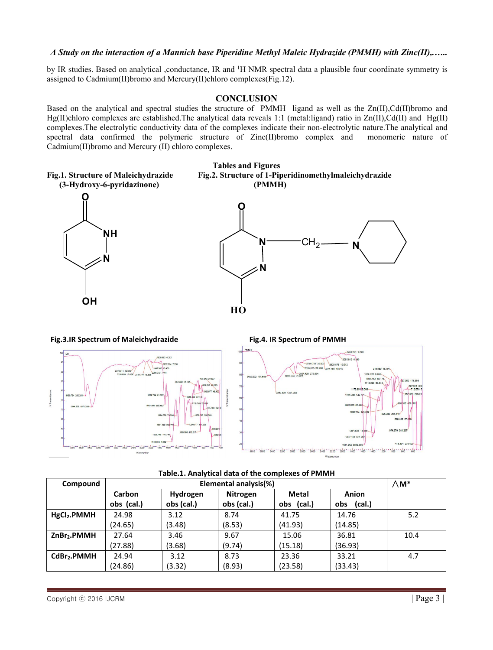## *A Study on the interaction of a Mannich base Piperidine MethylMaleic Hydrazide (PMMH) with Zinc(II),.…..*

by IR studies. Based on analytical ,conductance, IR and <sup>1</sup>H NMR spectral data a plausible four coordinate symmetry is assigned to Cadmium(II)bromo and Mercury(II)chloro complexes(Fig.12).

## **CONCLUSION**

Based on the analytical and spectral studies the structure of PMMH ligand as wellas the Zn(II),Cd(II)bromo and Hg(II)chloro complexes are established. The analytical data reveals 1:1 (metal:ligand) ratio in  $\text{Zn(II)},\text{Cd(II)}$  and  $\text{Hg(II)}$ complexes. The electrolytic conductivity data of the complexes indicate their non-electrolytic nature. The analytical and spectral data confirmed the polymeric structure of Zinc(II) bromo complex and monomeric nature of spectral data confirmed the polymeric structure of Zinc(II)bromo complex and Cadmium(II)bromo and Mercury (II) chloro complexes.



| Table.1. Analytical data of the complexes of PMMH |  |
|---------------------------------------------------|--|
|---------------------------------------------------|--|

| Compound                | Elemental analysis(%) |            |                 |              | $\wedge$ M*   |      |
|-------------------------|-----------------------|------------|-----------------|--------------|---------------|------|
|                         | Carbon                | Hydrogen   | <b>Nitrogen</b> | <b>Metal</b> | Anion         |      |
|                         | obs (cal.)            | obs (cal.) | obs (cal.)      | obs (cal.)   | (cal.)<br>obs |      |
| HgCl <sub>2</sub> .PMMH | 24.98                 | 3.12       | 8.74            | 41.75        | 14.76         | 5.2  |
|                         | (24.65)               | (3.48)     | (8.53)          | (41.93)      | (14.85)       |      |
| ZnBr <sub>2</sub> .PMMH | 27.64                 | 3.46       | 9.67            | 15.06        | 36.81         | 10.4 |
|                         | (27.88)               | (3.68)     | (9.74)          | (15.18)      | (36.93)       |      |
| CdBr <sub>2</sub> .PMMH | 24.94                 | 3.12       | 8.73            | 23.36        | 33.21         | 4.7  |
|                         | (24.86)               | (3.32)     | (8.93)          | (23.58)      | (33.43)       |      |

418.394 276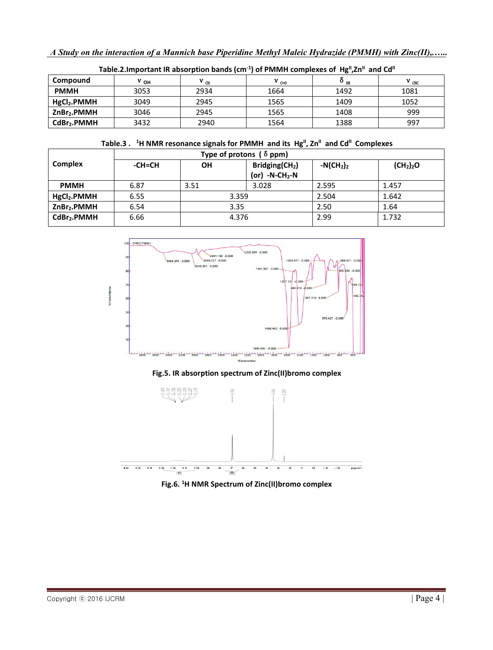| Table.2. Important IR absorption bands $(cm-1)$ of PMMH complexes of Hg <sup>II</sup> , Zn <sup>II</sup> and Cd <sup>II</sup> |              |                 |                    |                           |           |
|-------------------------------------------------------------------------------------------------------------------------------|--------------|-----------------|--------------------|---------------------------|-----------|
| Compound                                                                                                                      | $v_{\rm OH}$ | $V_{\text{CH}}$ | $V_{\text{C} = 0}$ | $\mathbf{v}_{\text{off}}$ | $V_{CNC}$ |
| <b>PMMH</b>                                                                                                                   | 3053         | 2934            | 1664               | 1492                      | 1081      |
| HgCl <sub>2</sub> .PMMH                                                                                                       | 3049         | 2945            | 1565               | 1409                      | 1052      |
| ZnBr <sub>2</sub> .PMMH                                                                                                       | 3046         | 2945            | 1565               | 1408                      | 999       |
| CdBr <sub>2</sub> .PMMH                                                                                                       | 3432         | 2940            | 1564               | 1388                      | 997       |

| Table.2. Important IR absorption bands (cm <sup>-1</sup> ) of PMMH complexes of $Hg''$ , Zn <sup>"</sup> and Cd" |
|------------------------------------------------------------------------------------------------------------------|
|------------------------------------------------------------------------------------------------------------------|

## **Table.3 . <sup>1</sup>H NMR resonance signals for PMMH and its Hg II, Zn II and Cd II Complexes**

|                         | Type of protons $( \delta$ ppm) |       |                                                |            |                                   |  |
|-------------------------|---------------------------------|-------|------------------------------------------------|------------|-----------------------------------|--|
| Complex                 | -CH=CH                          | ΟH    | Bridging(CH <sub>2</sub> )<br>(or) $-N-CH_2-N$ | $-N(CH2)2$ | (CH <sub>2</sub> ) <sub>2</sub> O |  |
| <b>PMMH</b>             | 6.87                            | 3.51  | 3.028                                          | 2.595      | 1.457                             |  |
| HgCl <sub>2</sub> .PMMH | 6.55                            | 3.359 |                                                | 2.504      | 1.642                             |  |
| ZnBr2.PMMH              | 6.54                            | 3.35  |                                                | 2.50       | 1.64                              |  |
| CdBr <sub>2</sub> .PMMH | 6.66                            | 4.376 |                                                | 2.99       | 1.732                             |  |



## **Fig.5. IR absorption spectrum of Zinc(II)bromo complex**



**Fig.6. <sup>1</sup>H NMR Spectrum of Zinc(II)bromo complex**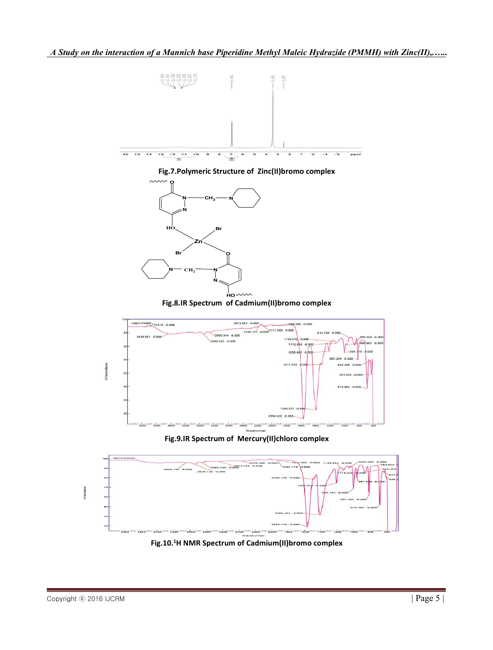

**Fig.10.<sup>1</sup>H NMR Spectrum of Cadmium(II)bromo complex**

**STransmitter**